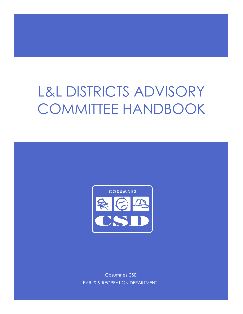# L&L DISTRICTS ADVISORY COMMITTEE HANDBOOK



Cosumnes CSD PARKS & RECREATION DEPARTMENT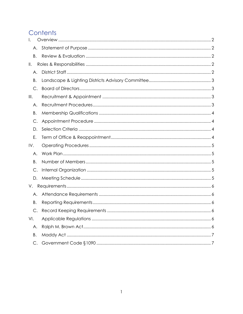# Contents

| I.            |  |
|---------------|--|
| А.            |  |
| Β.            |  |
| $\parallel$ . |  |
| А.            |  |
| В.            |  |
| $C_{\cdot}$   |  |
| III.          |  |
| Α.            |  |
| Β.            |  |
| C.            |  |
| D.            |  |
| Ε.            |  |
|               |  |
| IV.           |  |
| Α.            |  |
| B.            |  |
| C.            |  |
| D.            |  |
| V.            |  |
| А.            |  |
| В.            |  |
| C.            |  |
| VI.           |  |
| Α.            |  |
| Β.            |  |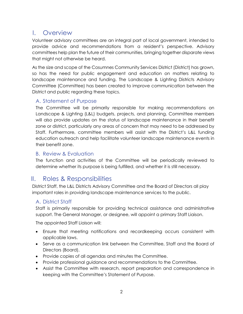### <span id="page-2-0"></span>I. Overview

Volunteer advisory committees are an integral part of local government, intended to provide advice and recommendations from a resident's perspective. Advisory committees help plan the future of their communities, bringing together disparate views that might not otherwise be heard.

As the size and scope of the Cosumnes Community Services District (District) has grown, so has the need for public engagement and education on matters relating to landscape maintenance and funding. The Landscape & Lighting Districts Advisory Committee (Committee) has been created to improve communication between the District and public regarding these topics.

### <span id="page-2-1"></span>A. Statement of Purpose

The Committee will be primarily responsible for making recommendations on Landscape & Lighting (L&L) budgets, projects, and planning. Committee members will also provide updates on the status of landscape maintenance in their benefit zone or district, particularly any areas of concern that may need to be addressed by Staff. Furthermore, committee members will assist with the District's L&L funding education outreach and help facilitate volunteer landscape maintenance events in their benefit zone.

### <span id="page-2-2"></span>B. Review & Evaluation

The function and activities of the Committee will be periodically reviewed to determine whether its purpose is being fulfilled, and whether it is still necessary.

### <span id="page-2-3"></span>II. Roles & Responsibilities

District Staff, the L&L Districts Advisory Committee and the Board of Directors all play important roles in providing landscape maintenance services to the public.

### <span id="page-2-4"></span>A. District Staff

Staff is primarily responsible for providing technical assistance and administrative support. The General Manager, or designee, will appoint a primary Staff Liaison.

The appointed Staff Liaison will:

- Ensure that meeting notifications and recordkeeping occurs consistent with applicable laws.
- Serve as a communication link between the Committee, Staff and the Board of Directors (Board).
- Provide copies of all agendas and minutes the Committee.
- Provide professional guidance and recommendations to the Committee.
- Assist the Committee with research, report preparation and correspondence in keeping with the Committee's Statement of Purpose.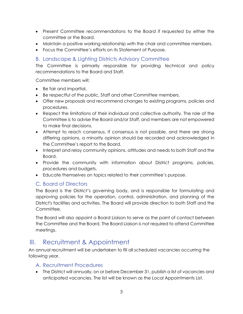- Present Committee recommendations to the Board if requested by either the committee or the Board.
- Maintain a positive working relationship with the chair and committee members.
- Focus the Committee's efforts on its Statement of Purpose.

### <span id="page-3-0"></span>B. Landscape & Lighting Districts Advisory Committee

The Committee is primarily responsible for providing technical and policy recommendations to the Board and Staff.

Committee members will:

- Be fair and impartial.
- Be respectful of the public, Staff and other Committee members.
- Offer new proposals and recommend changes to existing programs, policies and procedures.
- Respect the limitations of their individual and collective authority. The role of the Committee is to advise the Board and/or Staff, and members are not empowered to make final decisions.
- Attempt to reach consensus. If consensus is not possible, and there are strong differing opinions, a minority opinion should be recorded and acknowledged in the Committee's report to the Board.
- Interpret and relay community opinions, attitudes and needs to both Staff and the Board.
- Provide the community with information about District programs, policies, procedures and budgets.
- Educate themselves on topics related to their committee's purpose.

### <span id="page-3-1"></span>C. Board of Directors

The Board is the District's governing body, and is responsible for formulating and approving policies for the operation, control, administration, and planning of the District's facilities and activities. The Board will provide direction to both Staff and the Committee.

The Board will also appoint a Board Liaison to serve as the point of contact between the Committee and the Board. The Board Liaison is not required to attend Committee meetings.

### <span id="page-3-2"></span>III. Recruitment & Appointment

An annual recruitment will be undertaken to fill all scheduled vacancies occurring the following year.

#### <span id="page-3-3"></span>A. Recruitment Procedures

• The District will annually, on or before December 31, publish a list of vacancies and anticipated vacancies. The list will be known as the Local Appointments List.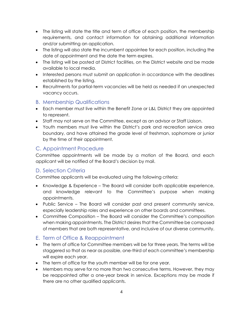- The listing will state the title and term of office of each position, the membership requirements, and contact information for obtaining additional information and/or submitting an application.
- The listing will also state the incumbent appointee for each position, including the date of appointment and the date the term expires.
- The listing will be posted at District facilities, on the District website and be made available to local media.
- Interested persons must submit an application in accordance with the deadlines established by the listing.
- Recruitments for partial-term vacancies will be held as needed if an unexpected vacancy occurs.
- <span id="page-4-0"></span>B. Membership Qualifications
- Each member must live within the Benefit Zone or L&L District they are appointed to represent.
- Staff may not serve on the Committee, except as an advisor or Staff Liaison.
- Youth members must live within the District's park and recreation service area boundary, and have attained the grade level of freshman, sophomore or junior by the time of their appointment.

### <span id="page-4-1"></span>C. Appointment Procedure

Committee appointments will be made by a motion of the Board, and each applicant will be notified of the Board's decision by mail.

### <span id="page-4-2"></span>D. Selection Criteria

Committee applicants will be evaluated using the following criteria:

- Knowledge & Experience The Board will consider both applicable experience, and knowledge relevant to the Committee's purpose when making appointments.
- Public Service The Board will consider past and present community service, especially leadership roles and experience on other boards and committees.
- Committee Composition The Board will consider the Committee's composition when making appointments. The District desires that the Committee be composed of members that are both representative, and inclusive of our diverse community.

### <span id="page-4-3"></span>E. Term of Office & Reappointment

- The term of office for Committee members will be for three years. The terms will be staggered so that as near as possible, one-third of each committee's membership will expire each year.
- The term of office for the youth member will be for one year.
- Members may serve for no more than two consecutive terms. However, they may be reappointed after a one-year break in service. Exceptions may be made if there are no other qualified applicants.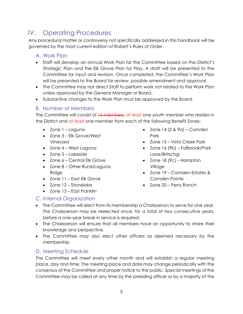# <span id="page-5-0"></span>IV. Operating Procedures

Any procedural matter or controversy not specifically addressed in this handbook will be governed by the most current edition of *Robert's Rules of Order*.

#### <span id="page-5-1"></span>A. Work Plan

- Staff will develop an annual Work Plan for the Committee based on the District's Strategic Plan and the Elk Grove Plan for Play. A draft will be presented to the Committee for input and revision. Once completed, the Committee's Work Plan will be presented to the Board for review, possible amendment and approval.
- The Committee may not direct Staff to perform work not related to the Work Plan unless approved by the General Manager or Board.
- Substantive changes to the Work Plan must be approved by the Board.

#### <span id="page-5-2"></span>B. Number of Members

The Committee will consist of 16 members, at least one youth member who resides in the District and at least one member from each of the following Benefit Zones:

- Zone 1 Laguna
- Zone 3 Elk Grove/West Vineyard
- Zone 4 West Laguna
- Zone 5 Lakeside
- Zone 6 Central Elk Grove
- Zone 8 Other Rural/Laguna Ridge
- Zone 11 East Elk Grove
- Zone 12 Stonelake
- Zone 13 East Franklin

### <span id="page-5-3"></span>C. Internal Organization

- $\bullet$  Zone 14 (2 & 9a) Camden Park
- Zone 15 Vista Creek Park
- Zone 16 (9b) Fallbrook/Park Lane/Britschgi
- Zone 18 (9c) Hampton Village
- Zone 19 Camden Estates & Camden Pointe
- Zone 20 Perry Ranch
- The Committee will elect from its membership a Chairperson to serve for one year. The Chairperson may be reelected once, for a total of two consecutive years, before a one-year break in service is required.
- The Chairperson will ensure that all members have an opportunity to share their knowledge and perspective.
- The Committee may also elect other officers as deemed necessary by the membership.

### <span id="page-5-4"></span>D. Meeting Schedule

The Committee will meet every other month and will establish a regular meeting place, day and time. The meeting place and date may change periodically with the consensus of the Committee and proper notice to the public. Special meetings of the Committee may be called at any time by the presiding officer or by a majority of the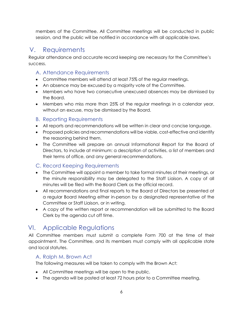members of the Committee. All Committee meetings will be conducted in public session, and the public will be notified in accordance with all applicable laws.

## <span id="page-6-0"></span>V. Requirements

Regular attendance and accurate record keeping are necessary for the Committee's success.

### <span id="page-6-1"></span>A. Attendance Requirements

- Committee members will attend at least 75% of the regular meetings.
- An absence may be excused by a majority vote of the Committee.
- Members who have two consecutive unexcused absences may be dismissed by the Board.
- Members who miss more than 25% of the regular meetings in a calendar year, without an excuse, may be dismissed by the Board.

### <span id="page-6-2"></span>B. Reporting Requirements

- All reports and recommendations will be written in clear and concise language.
- Proposed policies and recommendations will be viable, cost-effective and identify the reasoning behind them.
- The Committee will prepare an annual Informational Report for the Board of Directors, to include at minimum: a description of activities, a list of members and their terms of office, and any general recommendations.

### <span id="page-6-3"></span>C. Record Keeping Requirements

- The Committee will appoint a member to take formal minutes of their meetings, or the minute responsibility may be delegated to the Staff Liaison. A copy of all minutes will be filed with the Board Clerk as the official record.
- All recommendations and final reports to the Board of Directors be presented at a regular Board Meeting either in-person by a designated representative of the Committee or Staff Liaison, or in writing.
- A copy of the written report or recommendation will be submitted to the Board Clerk by the agenda cut off time.

## <span id="page-6-4"></span>VI. Applicable Regulations

All Committee members must submit a complete Form 700 at the time of their appointment. The Committee, and its members must comply with all applicable state and local statutes.

### <span id="page-6-5"></span>A. Ralph M. Brown Act

The following measures will be taken to comply with the Brown Act:

- All Committee meetings will be open to the public.
- The agenda will be posted at least 72 hours prior to a Committee meeting.